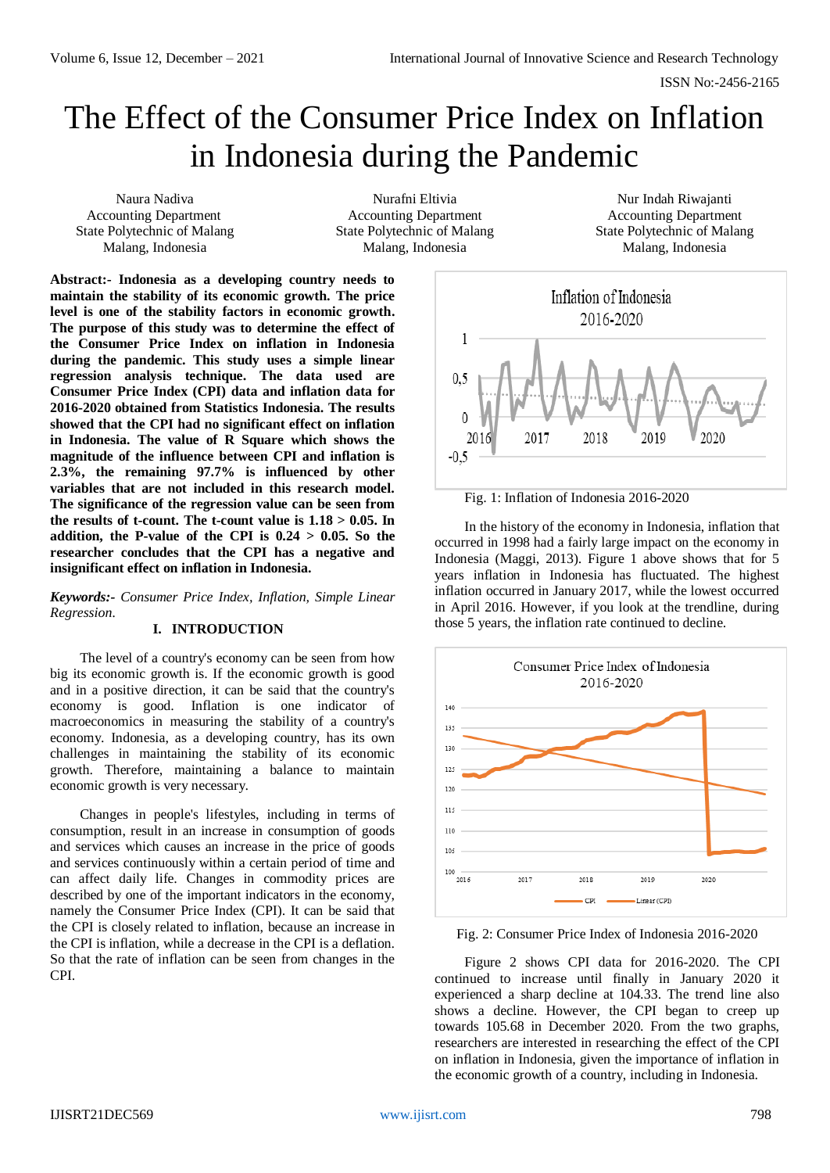ISSN No:-2456-2165

# The Effect of the Consumer Price Index on Inflation in Indonesia during the Pandemic

Naura Nadiva Accounting Department State Polytechnic of Malang Malang, Indonesia

Nurafni Eltivia Accounting Department State Polytechnic of Malang Malang, Indonesia

Nur Indah Riwajanti Accounting Department State Polytechnic of Malang Malang, Indonesia

**Abstract:- Indonesia as a developing country needs to maintain the stability of its economic growth. The price level is one of the stability factors in economic growth. The purpose of this study was to determine the effect of the Consumer Price Index on inflation in Indonesia during the pandemic. This study uses a simple linear regression analysis technique. The data used are Consumer Price Index (CPI) data and inflation data for 2016-2020 obtained from Statistics Indonesia. The results showed that the CPI had no significant effect on inflation in Indonesia. The value of R Square which shows the magnitude of the influence between CPI and inflation is 2.3%, the remaining 97.7% is influenced by other variables that are not included in this research model. The significance of the regression value can be seen from**  the results of t-count. The t-count value is  $1.18 > 0.05$ . In **addition, the P-value of the CPI is 0.24 > 0.05. So the researcher concludes that the CPI has a negative and insignificant effect on inflation in Indonesia.**

*Keywords:- Consumer Price Index, Inflation, Simple Linear Regression.*

#### **I. INTRODUCTION**

The level of a country's economy can be seen from how big its economic growth is. If the economic growth is good and in a positive direction, it can be said that the country's economy is good. Inflation is one indicator of macroeconomics in measuring the stability of a country's economy. Indonesia, as a developing country, has its own challenges in maintaining the stability of its economic growth. Therefore, maintaining a balance to maintain economic growth is very necessary.

Changes in people's lifestyles, including in terms of consumption, result in an increase in consumption of goods and services which causes an increase in the price of goods and services continuously within a certain period of time and can affect daily life. Changes in commodity prices are described by one of the important indicators in the economy, namely the Consumer Price Index (CPI). It can be said that the CPI is closely related to inflation, because an increase in the CPI is inflation, while a decrease in the CPI is a deflation. So that the rate of inflation can be seen from changes in the CPI.



Fig. 1: Inflation of Indonesia 2016-2020

In the history of the economy in Indonesia, inflation that occurred in 1998 had a fairly large impact on the economy in Indonesia (Maggi, 2013). Figure 1 above shows that for 5 years inflation in Indonesia has fluctuated. The highest inflation occurred in January 2017, while the lowest occurred in April 2016. However, if you look at the trendline, during those 5 years, the inflation rate continued to decline.



Fig. 2: Consumer Price Index of Indonesia 2016-2020

Figure 2 shows CPI data for 2016-2020. The CPI continued to increase until finally in January 2020 it experienced a sharp decline at 104.33. The trend line also shows a decline. However, the CPI began to creep up towards 105.68 in December 2020. From the two graphs, researchers are interested in researching the effect of the CPI on inflation in Indonesia, given the importance of inflation in the economic growth of a country, including in Indonesia.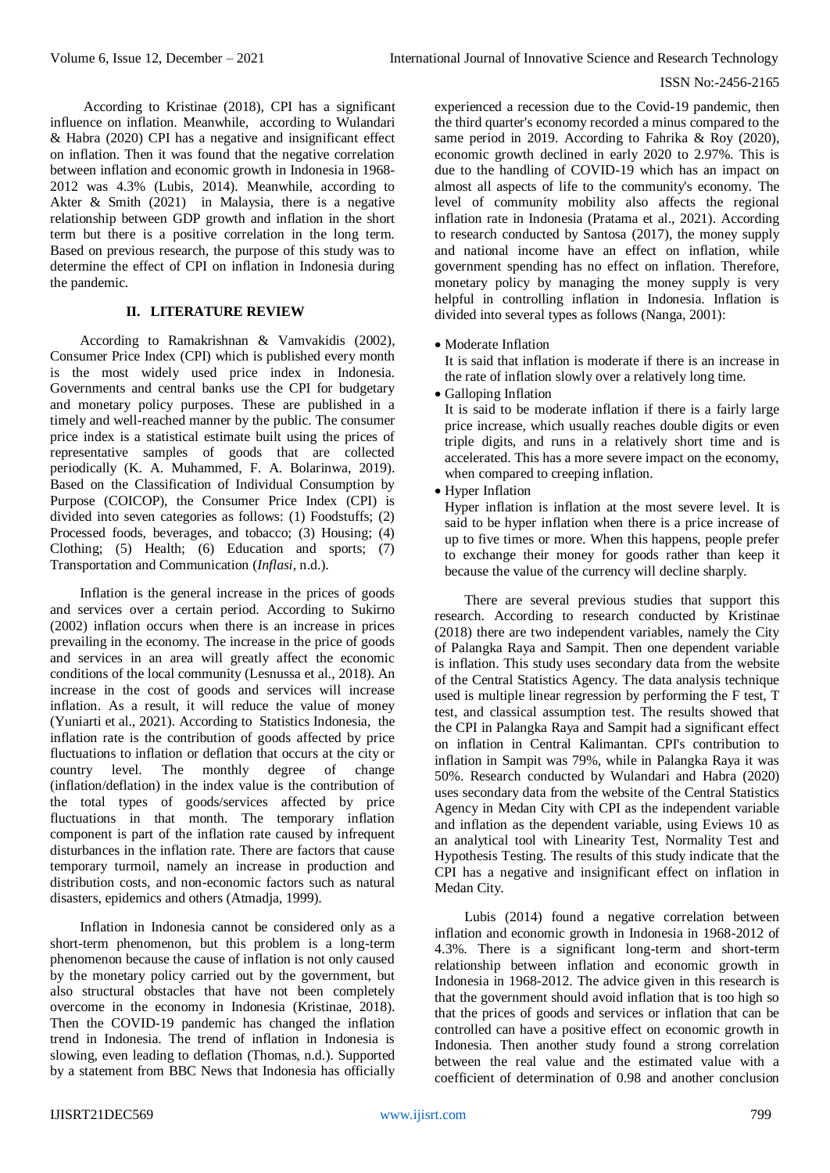According to Kristinae (2018), CPI has a significant influence on inflation. Meanwhile, according to Wulandari & Habra (2020) CPI has a negative and insignificant effect on inflation. Then it was found that the negative correlation between inflation and economic growth in Indonesia in 1968- 2012 was 4.3% (Lubis, 2014). Meanwhile, according to Akter & Smith (2021) in Malaysia, there is a negative relationship between GDP growth and inflation in the short term but there is a positive correlation in the long term. Based on previous research, the purpose of this study was to determine the effect of CPI on inflation in Indonesia during the pandemic.

## **II. LITERATURE REVIEW**

According to Ramakrishnan & Vamvakidis (2002), Consumer Price Index (CPI) which is published every month is the most widely used price index in Indonesia. Governments and central banks use the CPI for budgetary and monetary policy purposes. These are published in a timely and well-reached manner by the public. The consumer price index is a statistical estimate built using the prices of representative samples of goods that are collected periodically (K. A. Muhammed, F. A. Bolarinwa, 2019). Based on the Classification of Individual Consumption by Purpose (COICOP), the Consumer Price Index (CPI) is divided into seven categories as follows: (1) Foodstuffs; (2) Processed foods, beverages, and tobacco; (3) Housing; (4) Clothing; (5) Health; (6) Education and sports; (7) Transportation and Communication (*Inflasi*, n.d.).

Inflation is the general increase in the prices of goods and services over a certain period. According to Sukirno (2002) inflation occurs when there is an increase in prices prevailing in the economy. The increase in the price of goods and services in an area will greatly affect the economic conditions of the local community (Lesnussa et al., 2018). An increase in the cost of goods and services will increase inflation. As a result, it will reduce the value of money (Yuniarti et al., 2021). According to Statistics Indonesia, the inflation rate is the contribution of goods affected by price fluctuations to inflation or deflation that occurs at the city or country level. The monthly degree of change (inflation/deflation) in the index value is the contribution of the total types of goods/services affected by price fluctuations in that month. The temporary inflation component is part of the inflation rate caused by infrequent disturbances in the inflation rate. There are factors that cause temporary turmoil, namely an increase in production and distribution costs, and non-economic factors such as natural disasters, epidemics and others (Atmadja, 1999).

Inflation in Indonesia cannot be considered only as a short-term phenomenon, but this problem is a long-term phenomenon because the cause of inflation is not only caused by the monetary policy carried out by the government, but also structural obstacles that have not been completely overcome in the economy in Indonesia (Kristinae, 2018). Then the COVID-19 pandemic has changed the inflation trend in Indonesia. The trend of inflation in Indonesia is slowing, even leading to deflation (Thomas, n.d.). Supported by a statement from BBC News that Indonesia has officially experienced a recession due to the Covid-19 pandemic, then the third quarter's economy recorded a minus compared to the same period in 2019. According to Fahrika & Roy (2020), economic growth declined in early 2020 to 2.97%. This is due to the handling of COVID-19 which has an impact on almost all aspects of life to the community's economy. The level of community mobility also affects the regional inflation rate in Indonesia (Pratama et al., 2021). According to research conducted by Santosa (2017), the money supply and national income have an effect on inflation, while government spending has no effect on inflation. Therefore, monetary policy by managing the money supply is very helpful in controlling inflation in Indonesia. Inflation is divided into several types as follows (Nanga, 2001):

• Moderate Inflation

It is said that inflation is moderate if there is an increase in the rate of inflation slowly over a relatively long time.

Galloping Inflation

It is said to be moderate inflation if there is a fairly large price increase, which usually reaches double digits or even triple digits, and runs in a relatively short time and is accelerated. This has a more severe impact on the economy, when compared to creeping inflation.

Hyper Inflation

Hyper inflation is inflation at the most severe level. It is said to be hyper inflation when there is a price increase of up to five times or more. When this happens, people prefer to exchange their money for goods rather than keep it because the value of the currency will decline sharply.

There are several previous studies that support this research. According to research conducted by Kristinae (2018) there are two independent variables, namely the City of Palangka Raya and Sampit. Then one dependent variable is inflation. This study uses secondary data from the website of the Central Statistics Agency. The data analysis technique used is multiple linear regression by performing the F test, T test, and classical assumption test. The results showed that the CPI in Palangka Raya and Sampit had a significant effect on inflation in Central Kalimantan. CPI's contribution to inflation in Sampit was 79%, while in Palangka Raya it was 50%. Research conducted by Wulandari and Habra (2020) uses secondary data from the website of the Central Statistics Agency in Medan City with CPI as the independent variable and inflation as the dependent variable, using Eviews 10 as an analytical tool with Linearity Test, Normality Test and Hypothesis Testing. The results of this study indicate that the CPI has a negative and insignificant effect on inflation in Medan City.

Lubis (2014) found a negative correlation between inflation and economic growth in Indonesia in 1968-2012 of 4.3%. There is a significant long-term and short-term relationship between inflation and economic growth in Indonesia in 1968-2012. The advice given in this research is that the government should avoid inflation that is too high so that the prices of goods and services or inflation that can be controlled can have a positive effect on economic growth in Indonesia. Then another study found a strong correlation between the real value and the estimated value with a coefficient of determination of 0.98 and another conclusion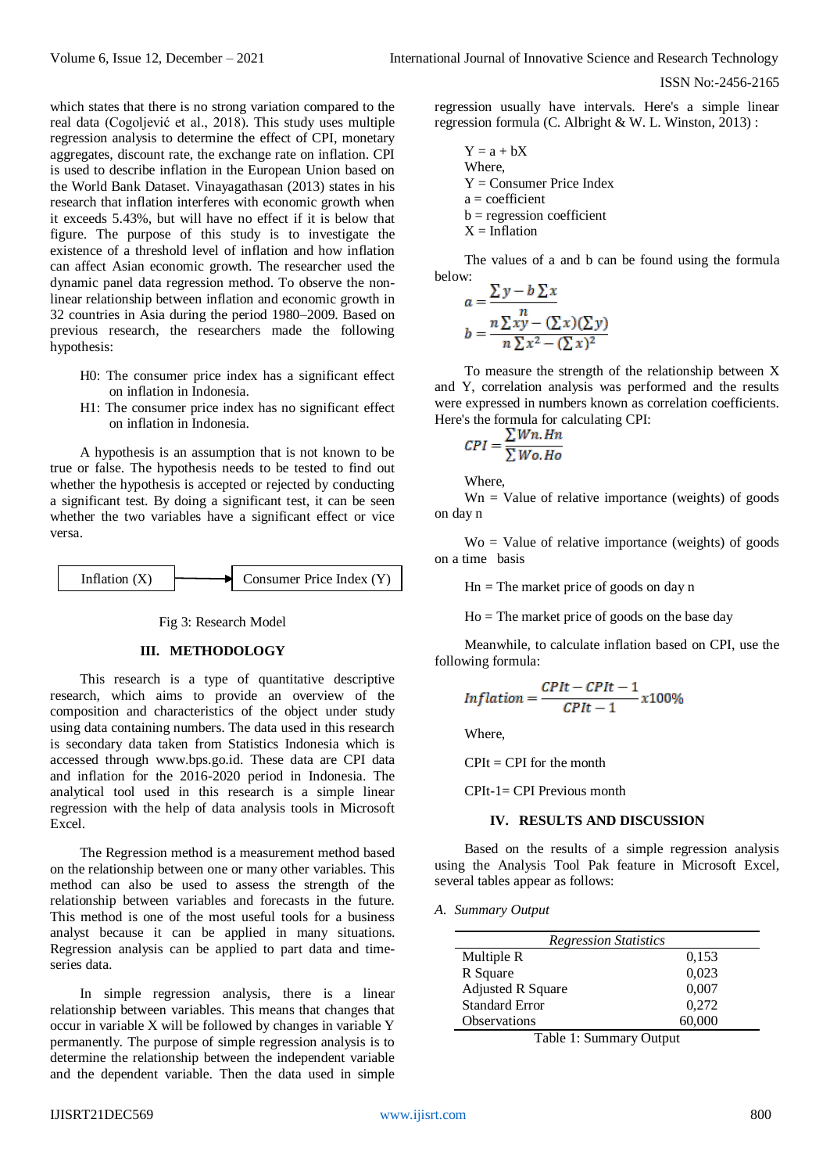ISSN No:-2456-2165

which states that there is no strong variation compared to the real data (Cogoljević et al., 2018). This study uses multiple regression analysis to determine the effect of CPI, monetary aggregates, discount rate, the exchange rate on inflation. CPI is used to describe inflation in the European Union based on the World Bank Dataset. Vinayagathasan (2013) states in his research that inflation interferes with economic growth when it exceeds 5.43%, but will have no effect if it is below that figure. The purpose of this study is to investigate the existence of a threshold level of inflation and how inflation can affect Asian economic growth. The researcher used the dynamic panel data regression method. To observe the nonlinear relationship between inflation and economic growth in 32 countries in Asia during the period 1980–2009. Based on previous research, the researchers made the following hypothesis:

- H0: The consumer price index has a significant effect on inflation in Indonesia.
- H1: The consumer price index has no significant effect on inflation in Indonesia.

A hypothesis is an assumption that is not known to be true or false. The hypothesis needs to be tested to find out whether the hypothesis is accepted or rejected by conducting a significant test. By doing a significant test, it can be seen whether the two variables have a significant effect or vice versa.

Inflation (X) Consumer Price Index (Y)

#### Fig 3: Research Model

#### **III. METHODOLOGY**

This research is a type of quantitative descriptive research, which aims to provide an overview of the composition and characteristics of the object under study using data containing numbers. The data used in this research is secondary data taken from Statistics Indonesia which is accessed through [www.bps.go.id.](http://www.bps.go.id/) These data are CPI data and inflation for the 2016-2020 period in Indonesia. The analytical tool used in this research is a simple linear regression with the help of data analysis tools in Microsoft Excel.

The Regression method is a measurement method based on the relationship between one or many other variables. This method can also be used to assess the strength of the relationship between variables and forecasts in the future. This method is one of the most useful tools for a business analyst because it can be applied in many situations. Regression analysis can be applied to part data and timeseries data.

In simple regression analysis, there is a linear relationship between variables. This means that changes that occur in variable X will be followed by changes in variable Y permanently. The purpose of simple regression analysis is to determine the relationship between the independent variable and the dependent variable. Then the data used in simple

regression usually have intervals. Here's a simple linear regression formula (C. Albright & W. L. Winston, 2013) :

 $Y = a + bX$ Where,  $Y =$  Consumer Price Index  $a = coefficient$  $b = regression coefficient$  $X = Inflation$ 

The values of a and b can be found using the formula below:

$$
a = \frac{\sum y - b \sum x}{n}
$$
  

$$
b = \frac{n \sum xy - (\sum x)(\sum y)}{n \sum x^2 - (\sum x)^2}
$$

To measure the strength of the relationship between X and Y, correlation analysis was performed and the results were expressed in numbers known as correlation coefficients. Here's the formula for calculating CPI:

$$
CPI = \frac{\sum Wn.Hn}{\sum Wo.Ho}
$$

Where,

 $Wn = Value of relative importance (weights) of goods$ on day n

 $W_0$  = Value of relative importance (weights) of goods on a time basis

 $Hn = The market price of goods on day n$ 

 $Ho = The market price of goods on the base day$ 

Meanwhile, to calculate inflation based on CPI, use the following formula:

$$
Inflation = \frac{CPIt - CPIt - 1}{CPIt - 1}x100\%
$$

Where,

 $CPIt = CPI$  for the month

CPIt-1= CPI Previous month

### **IV. RESULTS AND DISCUSSION**

Based on the results of a simple regression analysis using the Analysis Tool Pak feature in Microsoft Excel, several tables appear as follows:

*A. Summary Output*

| <b>Regression Statistics</b> |        |  |  |  |  |
|------------------------------|--------|--|--|--|--|
| Multiple R                   | 0,153  |  |  |  |  |
| R Square                     | 0,023  |  |  |  |  |
| <b>Adjusted R Square</b>     | 0,007  |  |  |  |  |
| <b>Standard Error</b>        | 0,272  |  |  |  |  |
| Observations                 | 60,000 |  |  |  |  |

Table 1: Summary Output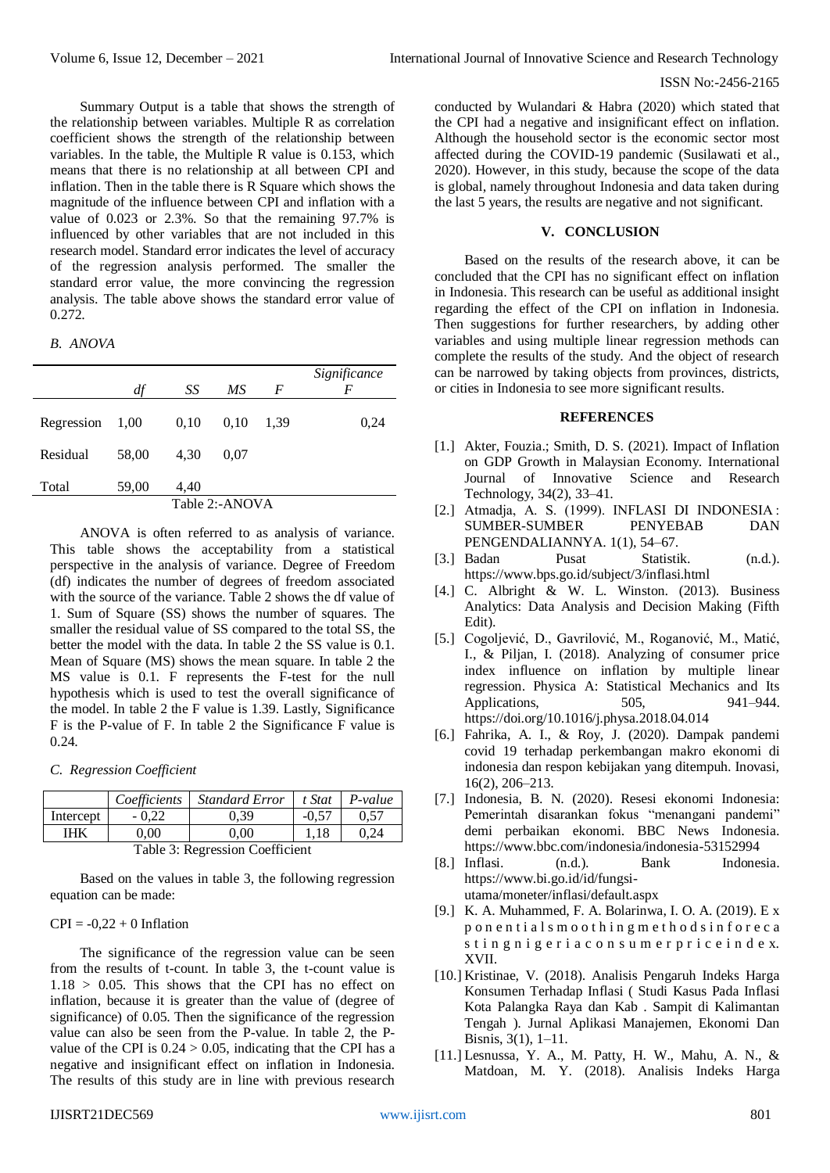Summary Output is a table that shows the strength of the relationship between variables. Multiple R as correlation coefficient shows the strength of the relationship between variables. In the table, the Multiple R value is 0.153, which means that there is no relationship at all between CPI and inflation. Then in the table there is R Square which shows the magnitude of the influence between CPI and inflation with a value of 0.023 or 2.3%. So that the remaining 97.7% is influenced by other variables that are not included in this research model. Standard error indicates the level of accuracy of the regression analysis performed. The smaller the standard error value, the more convincing the regression analysis. The table above shows the standard error value of 0.272.

*B. ANOVA*

|                | df    | SS   | МS   | F    | Significance<br>F |  |  |
|----------------|-------|------|------|------|-------------------|--|--|
| Regression     | 1,00  | 0,10 | 0.10 | 1,39 | 0,24              |  |  |
| Residual       | 58,00 | 4.30 | 0.07 |      |                   |  |  |
| Total          | 59,00 | 4,40 |      |      |                   |  |  |
| Table 2:-ANOVA |       |      |      |      |                   |  |  |

ANOVA is often referred to as analysis of variance. This table shows the acceptability from a statistical perspective in the analysis of variance. Degree of Freedom (df) indicates the number of degrees of freedom associated with the source of the variance. Table 2 shows the df value of 1. Sum of Square (SS) shows the number of squares. The smaller the residual value of SS compared to the total SS, the better the model with the data. In table 2 the SS value is 0.1. Mean of Square (MS) shows the mean square. In table 2 the MS value is 0.1. F represents the F-test for the null hypothesis which is used to test the overall significance of the model. In table 2 the F value is 1.39. Lastly, Significance F is the P-value of F. In table 2 the Significance F value is 0.24.

## *C. Regression Coefficient*

|                                 | Coefficients | <b>Standard Error</b> | t Stat  | P-value |  |  |  |
|---------------------------------|--------------|-----------------------|---------|---------|--|--|--|
| Intercept                       | $-0.22$      | 0.39                  | $-0.57$ | 0.57    |  |  |  |
| IHK                             | 0.00         | 0.00                  | 1.18    | 0.24    |  |  |  |
| Table 3: Regression Coefficient |              |                       |         |         |  |  |  |

Based on the values in table 3, the following regression equation can be made:

## $CPI = -0,22 + 0$  Inflation

The significance of the regression value can be seen from the results of t-count. In table 3, the t-count value is  $1.18 > 0.05$ . This shows that the CPI has no effect on inflation, because it is greater than the value of (degree of significance) of 0.05. Then the significance of the regression value can also be seen from the P-value. In table 2, the Pvalue of the CPI is  $0.24 > 0.05$ , indicating that the CPI has a negative and insignificant effect on inflation in Indonesia. The results of this study are in line with previous research Although the household sector is the economic sector most affected during the COVID-19 pandemic (Susilawati et al., 2020). However, in this study, because the scope of the data is global, namely throughout Indonesia and data taken during the last 5 years, the results are negative and not significant.

## **V. CONCLUSION**

Based on the results of the research above, it can be concluded that the CPI has no significant effect on inflation in Indonesia. This research can be useful as additional insight regarding the effect of the CPI on inflation in Indonesia. Then suggestions for further researchers, by adding other variables and using multiple linear regression methods can complete the results of the study. And the object of research can be narrowed by taking objects from provinces, districts, or cities in Indonesia to see more significant results.

### **REFERENCES**

- [1.] Akter, Fouzia.; Smith, D. S. (2021). Impact of Inflation on GDP Growth in Malaysian Economy. International Journal of Innovative Science and Research Technology, 34(2), 33–41.
- [2.] Atmadja, A. S. (1999). INFLASI DI INDONESIA : SUMBER-SUMBER PENYEBAB DAN PENGENDALIANNYA. 1(1), 54–67.
- [3.] Badan Pusat Statistik. (n.d.). <https://www.bps.go.id/subject/3/inflasi.html>
- [4.] C. Albright & W. L. Winston. (2013). Business Analytics: Data Analysis and Decision Making (Fifth Edit).
- [5.] Cogoljević, D., Gavrilović, M., Roganović, M., Matić, I., & Piljan, I. (2018). Analyzing of consumer price index influence on inflation by multiple linear regression. Physica A: Statistical Mechanics and Its Applications, 505, 941–944. <https://doi.org/10.1016/j.physa.2018.04.014>
- [6.] Fahrika, A. I., & Roy, J. (2020). Dampak pandemi covid 19 terhadap perkembangan makro ekonomi di indonesia dan respon kebijakan yang ditempuh. Inovasi, 16(2), 206–213.
- [7.] Indonesia, B. N. (2020). Resesi ekonomi Indonesia: Pemerintah disarankan fokus "menangani pandemi" demi perbaikan ekonomi. BBC News Indonesia. <https://www.bbc.com/indonesia/indonesia-53152994>
- [8.] Inflasi. (n.d.). Bank Indonesia. [https://www.bi.go.id/id/fungsi](https://www.bi.go.id/id/fungsi-utama/moneter/inflasi/default.aspx)[utama/moneter/inflasi/default.aspx](https://www.bi.go.id/id/fungsi-utama/moneter/inflasi/default.aspx)
- [9.] K. A. Muhammed, F. A. Bolarinwa, I. O. A. (2019). E x p o n e n t i a l s m o o t h i n g m e t h o d s i n f o r e c a sting nigeriacon sum er priceindex. XVII.
- [10.] Kristinae, V. (2018). Analisis Pengaruh Indeks Harga Konsumen Terhadap Inflasi ( Studi Kasus Pada Inflasi Kota Palangka Raya dan Kab . Sampit di Kalimantan Tengah ). Jurnal Aplikasi Manajemen, Ekonomi Dan Bisnis, 3(1), 1–11.
- [11.] Lesnussa, Y. A., M. Patty, H. W., Mahu, A. N., & Matdoan, M. Y. (2018). Analisis Indeks Harga